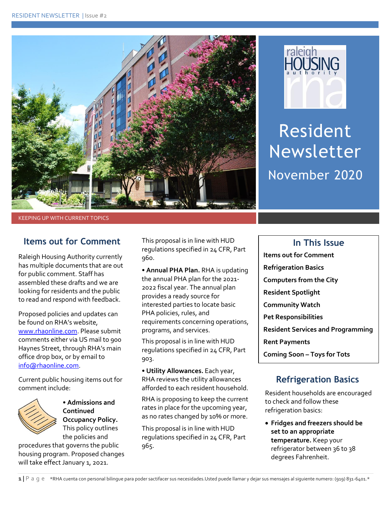



Resident Newsletter November 2020

KEEPING UP WITH CURRENT TOPICS

#### **Items out for Comment**

Raleigh Housing Authority currently has multiple documents that are out for public comment. Staff has assembled these drafts and we are looking for residents and the public to read and respond with feedback.

Proposed policies and updates can be found on RHA's website, [www.rhaonline.com.](http://www.rhaonline.com/) Please submit comments either via US mail to 900 Haynes Street, through RHA's main office drop box, or by email to [info@rhaonline.com.](mailto:info@rhaonline.com)

Current public housing items out for comment include:



• **Admissions and Continued Occupancy Policy.**  This policy outlines the policies and

procedures that governs the public housing program. Proposed changes will take effect January 1, 2021.

This proposal is in line with HUD regulations specified in 24 CFR, Part 960.

• **Annual PHA Plan.** RHA is updating the annual PHA plan for the 2021- 2022 fiscal year. The annual plan provides a ready source for interested parties to locate basic PHA policies, rules, and requirements concerning operations, programs, and services.

This proposal is in line with HUD regulations specified in 24 CFR, Part 903.

• **Utility Allowances.** Each year, RHA reviews the utility allowances afforded to each resident household.

RHA is proposing to keep the current rates in place for the upcoming year, as no rates changed by 10% or more.

This proposal is in line with HUD regulations specified in 24 CFR, Part 965.

# **In This Issue Items out for Comment Refrigeration Basics Computers from the City Resident Spotlight Community Watch Pet Responsibilities Resident Services and Programming Rent Payments Coming Soon – Toys for Tots**

# **Refrigeration Basics**

Resident households are encouraged to check and follow these refrigeration basics:

 **Fridges and freezers should be set to an appropriate temperature.** Keep your refrigerator between 36 to 38 degrees Fahrenheit.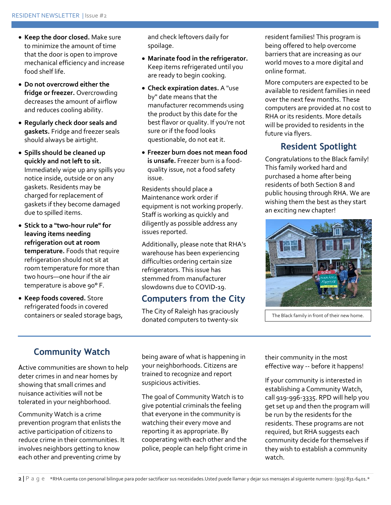- **Keep the door closed.** Make sure to minimize the amount of time that the door is open to improve mechanical efficiency and increase food shelf life.
- **Do not overcrowd either the fridge or freezer.** Overcrowding decreases the amount of airflow and reduces cooling ability.
- **Regularly check door seals and gaskets.** Fridge and freezer seals should always be airtight.
- **Spills should be cleaned up quickly and not left to sit.**  Immediately wipe up any spills you notice inside, outside or on any gaskets. Residents may be charged for replacement of gaskets if they become damaged due to spilled items.
- **Stick to a "two-hour rule" for leaving items needing refrigeration out at room temperature.** Foods that require refrigeration should not sit at room temperature for more than two hours—one hour if the air temperature is above 90°F.
- **Keep foods covered.** Store refrigerated foods in covered containers or sealed storage bags,

and check leftovers daily for spoilage.

- **Marinate food in the refrigerator.** Keep items refrigerated until you are ready to begin cooking.
- **Check expiration dates.** A "use by" date means that the manufacturer recommends using the product by this date for the best flavor or quality. If you're not sure or if the food looks questionable, do not eat it.
- **Freezer burn does not mean food is unsafe.** Freezer burn is a foodquality issue, not a food safety issue.

Residents should place a Maintenance work order if equipment is not working properly. Staff is working as quickly and diligently as possible address any issues reported.

Additionally, please note that RHA's warehouse has been experiencing difficulties ordering certain size refrigerators. This issue has stemmed from manufacturer slowdowns due to COVID-19.

### **Computers from the City**

The City of Raleigh has graciously donated computers to twenty-six

resident families! This program is being offered to help overcome barriers that are increasing as our world moves to a more digital and online format.

More computers are expected to be available to resident families in need over the next few months. These computers are provided at no cost to RHA or its residents. More details will be provided to residents in the future via flyers.

# **Resident Spotlight**

Congratulations to the Black family! This family worked hard and purchased a home after being residents of both Section 8 and public housing through RHA. We are wishing them the best as they start an exciting new chapter!



The Black family in front of their new home.

# **Community Watch**

Active communities are shown to help deter crimes in and near homes by showing that small crimes and nuisance activities will not be tolerated in your neighborhood.

Community Watch is a crime prevention program that enlists the active participation of citizens to reduce crime in their communities. It involves neighbors getting to know each other and preventing crime by

being aware of what is happening in your neighborhoods. Citizens are trained to recognize and report suspicious activities.

The goal of Community Watch is to give potential criminals the feeling that everyone in the community is watching their every move and reporting it as appropriate. By cooperating with each other and the police, people can help fight crime in their community in the most effective way -- before it happens!

If your community is interested in establishing a Community Watch, call 919-996-3335. RPD will help you get set up and then the program will be run by the residents for the residents. These programs are not required, but RHA suggests each community decide for themselves if they wish to establish a community watch.